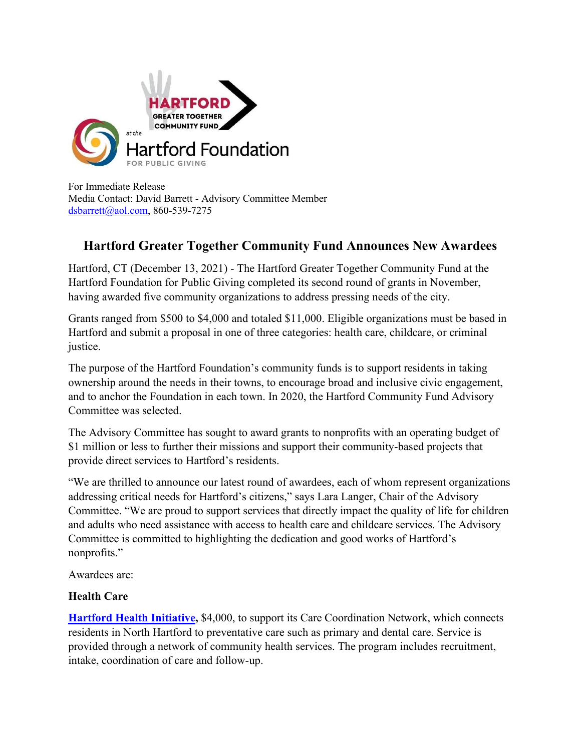

For Immediate Release Media Contact: David Barrett - Advisory Committee Member [dsbarrett@aol.com,](mailto:dsbarrett@aol.com) 860-539-7275

## **Hartford Greater Together Community Fund Announces New Awardees**

Hartford, CT (December 13, 2021) - The Hartford Greater Together Community Fund at the Hartford Foundation for Public Giving completed its second round of grants in November, having awarded five community organizations to address pressing needs of the city.

Grants ranged from \$500 to \$4,000 and totaled \$11,000. Eligible organizations must be based in Hartford and submit a proposal in one of three categories: health care, childcare, or criminal justice.

The purpose of the Hartford Foundation's community funds is to support residents in taking ownership around the needs in their towns, to encourage broad and inclusive civic engagement, and to anchor the Foundation in each town. In 2020, the Hartford Community Fund Advisory Committee was selected.

The Advisory Committee has sought to award grants to nonprofits with an operating budget of \$1 million or less to further their missions and support their community-based projects that provide direct services to Hartford's residents.

"We are thrilled to announce our latest round of awardees, each of whom represent organizations addressing critical needs for Hartford's citizens," says Lara Langer, Chair of the Advisory Committee. "We are proud to support services that directly impact the quality of life for children and adults who need assistance with access to health care and childcare services. The Advisory Committee is committed to highlighting the dedication and good works of Hartford's nonprofits."

Awardees are:

## **Health Care**

**[Hartford Health Initiative,](https://hartfordhealth.us/)** \$4,000, to support its Care Coordination Network, which connects residents in North Hartford to preventative care such as primary and dental care. Service is provided through a network of community health services. The program includes recruitment, intake, coordination of care and follow-up.